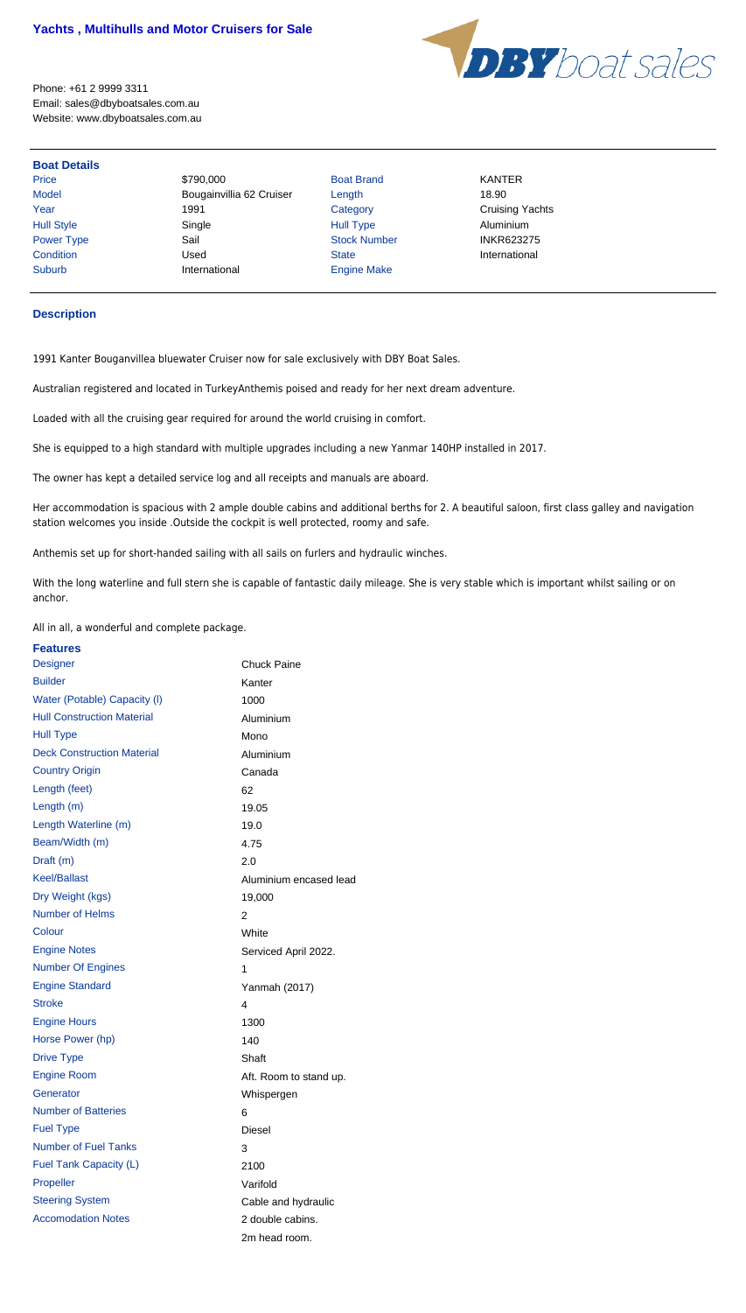

Price \$790,000 Boat Brand KANTER Model **Bougainvillia 62 Cruiser** Length 18.90 Year 1991 Category Category Cruising Yachts Hull Style Single Single Hull Type Aluminium (Aluminium Single Style Aluminium Style Aluminium Power Type Sail Sail Stock Number INKR623275 Condition Used State International Suburb **International** Engine Make

Phone: +61 2 9999 3311 Email: sales@dbyboatsales.com.au Website: www.dbyboatsales.com.au

## **Boat Details**

## **Description**

1991 Kanter Bouganvillea bluewater Cruiser now for sale exclusively with DBY Boat Sales.

Australian registered and located in TurkeyAnthemis poised and ready for her next dream adventure.

Loaded with all the cruising gear required for around the world cruising in comfort.

She is equipped to a high standard with multiple upgrades including a new Yanmar 140HP installed in 2017.

The owner has kept a detailed service log and all receipts and manuals are aboard.

Her accommodation is spacious with 2 ample double cabins and additional berths for 2. A beautiful saloon, first class galley and navigation station welcomes you inside .Outside the cockpit is well protected, roomy and safe.

Anthemis set up for short-handed sailing with all sails on furlers and hydraulic winches.

With the long waterline and full stern she is capable of fantastic daily mileage. She is very stable which is important whilst sailing or on anchor.

All in all, a wonderful and complete package.

| <b>Features</b>                   |                        |
|-----------------------------------|------------------------|
| <b>Designer</b>                   | <b>Chuck Paine</b>     |
| <b>Builder</b>                    | Kanter                 |
| Water (Potable) Capacity (I)      | 1000                   |
| <b>Hull Construction Material</b> | Aluminium              |
| <b>Hull Type</b>                  | Mono                   |
| <b>Deck Construction Material</b> | Aluminium              |
| <b>Country Origin</b>             | Canada                 |
| Length (feet)                     | 62                     |
| Length (m)                        | 19.05                  |
| Length Waterline (m)              | 19.0                   |
| Beam/Width (m)                    | 4.75                   |
| Draft (m)                         | 2.0                    |
| <b>Keel/Ballast</b>               | Aluminium encased lead |
| Dry Weight (kgs)                  | 19,000                 |
| <b>Number of Helms</b>            | 2                      |
| Colour                            | White                  |
| <b>Engine Notes</b>               | Serviced April 2022.   |
| <b>Number Of Engines</b>          | 1                      |
| <b>Engine Standard</b>            | Yanmah (2017)          |
| <b>Stroke</b>                     | 4                      |
| <b>Engine Hours</b>               | 1300                   |
| Horse Power (hp)                  | 140                    |
| <b>Drive Type</b>                 | Shaft                  |
| <b>Engine Room</b>                | Aft. Room to stand up. |
| Generator                         | Whispergen             |
| <b>Number of Batteries</b>        | 6                      |
| <b>Fuel Type</b>                  | <b>Diesel</b>          |
| <b>Number of Fuel Tanks</b>       | 3                      |
| Fuel Tank Capacity (L)            | 2100                   |
| Propeller                         | Varifold               |
| <b>Steering System</b>            | Cable and hydraulic    |
| <b>Accomodation Notes</b>         | 2 double cabins.       |
|                                   | 2m head room.          |